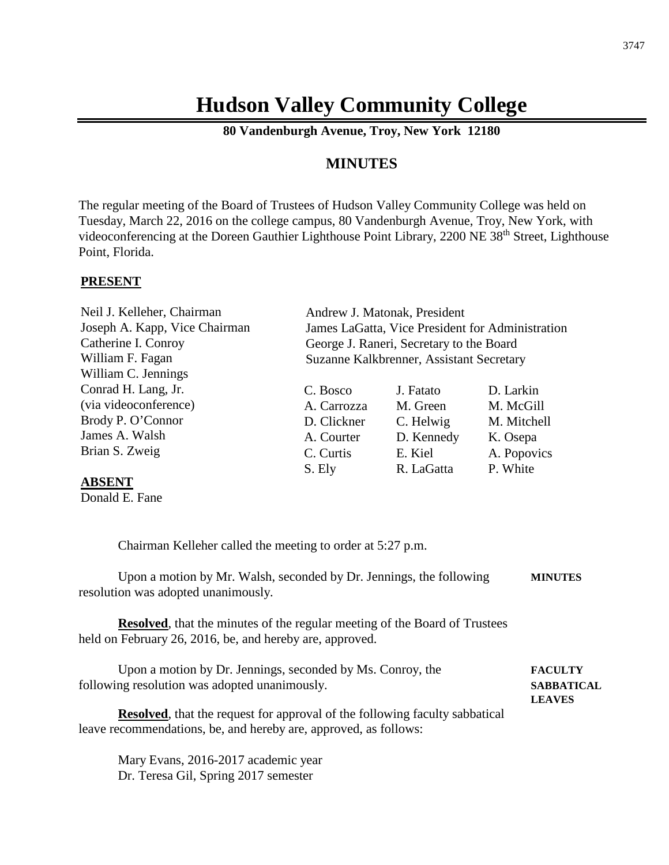# **Hudson Valley Community College**

**80 Vandenburgh Avenue, Troy, New York 12180**

# **MINUTES**

The regular meeting of the Board of Trustees of Hudson Valley Community College was held on Tuesday, March 22, 2016 on the college campus, 80 Vandenburgh Avenue, Troy, New York, with videoconferencing at the Doreen Gauthier Lighthouse Point Library, 2200 NE 38th Street, Lighthouse Point, Florida.

#### **PRESENT**

| Neil J. Kelleher, Chairman    | Andrew J. Matonak, President                     |            |             |
|-------------------------------|--------------------------------------------------|------------|-------------|
| Joseph A. Kapp, Vice Chairman | James LaGatta, Vice President for Administration |            |             |
| Catherine I. Conroy           | George J. Raneri, Secretary to the Board         |            |             |
| William F. Fagan              | Suzanne Kalkbrenner, Assistant Secretary         |            |             |
| William C. Jennings           |                                                  |            |             |
| Conrad H. Lang, Jr.           | C. Bosco                                         | J. Fatato  | D. Larkin   |
| (via videoconference)         | A. Carrozza                                      | M. Green   | M. McGill   |
| Brody P. O'Connor             | D. Clickner                                      | C. Helwig  | M. Mitchell |
| James A. Walsh                | A. Courter                                       | D. Kennedy | K. Osepa    |
| Brian S. Zweig                | C. Curtis                                        | E. Kiel    | A. Popovics |
|                               | S. Ely                                           | R. LaGatta | P. White    |

#### **ABSENT**

Donald E. Fane

Chairman Kelleher called the meeting to order at 5:27 p.m.

Upon a motion by Mr. Walsh, seconded by Dr. Jennings, the following **MINUTES** resolution was adopted unanimously.

**Resolved**, that the minutes of the regular meeting of the Board of Trustees held on February 26, 2016, be, and hereby are, approved.

Upon a motion by Dr. Jennings, seconded by Ms. Conroy, the **FACULTY** following resolution was adopted unanimously. **SABBATICAL LEAVES**

**Resolved**, that the request for approval of the following faculty sabbatical leave recommendations, be, and hereby are, approved, as follows:

Mary Evans, 2016-2017 academic year Dr. Teresa Gil, Spring 2017 semester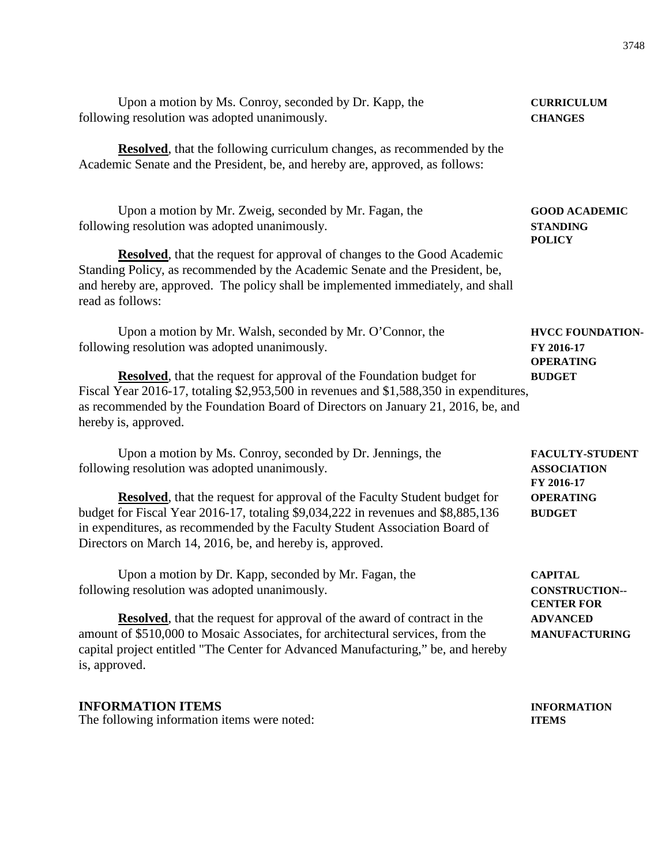| Upon a motion by Ms. Conroy, seconded by Dr. Kapp, the<br>following resolution was adopted unanimously.                                                                                                                                                                                                                                | <b>CURRICULUM</b><br><b>CHANGES</b>                       |  |
|----------------------------------------------------------------------------------------------------------------------------------------------------------------------------------------------------------------------------------------------------------------------------------------------------------------------------------------|-----------------------------------------------------------|--|
| <b>Resolved</b> , that the following curriculum changes, as recommended by the<br>Academic Senate and the President, be, and hereby are, approved, as follows:                                                                                                                                                                         |                                                           |  |
| Upon a motion by Mr. Zweig, seconded by Mr. Fagan, the<br>following resolution was adopted unanimously.                                                                                                                                                                                                                                | <b>GOOD ACADEMIC</b><br><b>STANDING</b><br><b>POLICY</b>  |  |
| <b>Resolved</b> , that the request for approval of changes to the Good Academic<br>Standing Policy, as recommended by the Academic Senate and the President, be,<br>and hereby are, approved. The policy shall be implemented immediately, and shall<br>read as follows:                                                               |                                                           |  |
| Upon a motion by Mr. Walsh, seconded by Mr. O'Connor, the<br>following resolution was adopted unanimously.                                                                                                                                                                                                                             | <b>HVCC FOUNDATION-</b><br>FY 2016-17<br><b>OPERATING</b> |  |
| <b>Resolved</b> , that the request for approval of the Foundation budget for<br>Fiscal Year 2016-17, totaling \$2,953,500 in revenues and \$1,588,350 in expenditures,<br>as recommended by the Foundation Board of Directors on January 21, 2016, be, and<br>hereby is, approved.                                                     | <b>BUDGET</b>                                             |  |
| Upon a motion by Ms. Conroy, seconded by Dr. Jennings, the<br>following resolution was adopted unanimously.                                                                                                                                                                                                                            | <b>FACULTY-STUDENT</b><br><b>ASSOCIATION</b>              |  |
| <b>Resolved</b> , that the request for approval of the Faculty Student budget for<br>budget for Fiscal Year 2016-17, totaling \$9,034,222 in revenues and \$8,885,136<br>in expenditures, as recommended by the Faculty Student Association Board of<br>Directors on March 14, 2016, be, and hereby is, approved.                      | FY 2016-17<br><b>OPERATING</b><br><b>BUDGET</b>           |  |
| Upon a motion by Dr. Kapp, seconded by Mr. Fagan, the<br>following resolution was adopted unanimously.                                                                                                                                                                                                                                 | <b>CAPITAL</b><br><b>CONSTRUCTION--</b>                   |  |
| <b>CENTER FOR</b><br><b>Resolved</b> , that the request for approval of the award of contract in the<br><b>ADVANCED</b><br>amount of \$510,000 to Mosaic Associates, for architectural services, from the<br><b>MANUFACTURING</b><br>capital project entitled "The Center for Advanced Manufacturing," be, and hereby<br>is, approved. |                                                           |  |
| <b>INFORMATION ITEMS</b>                                                                                                                                                                                                                                                                                                               | <b>INFORMATION</b>                                        |  |

The following information items were noted: **ITEMS**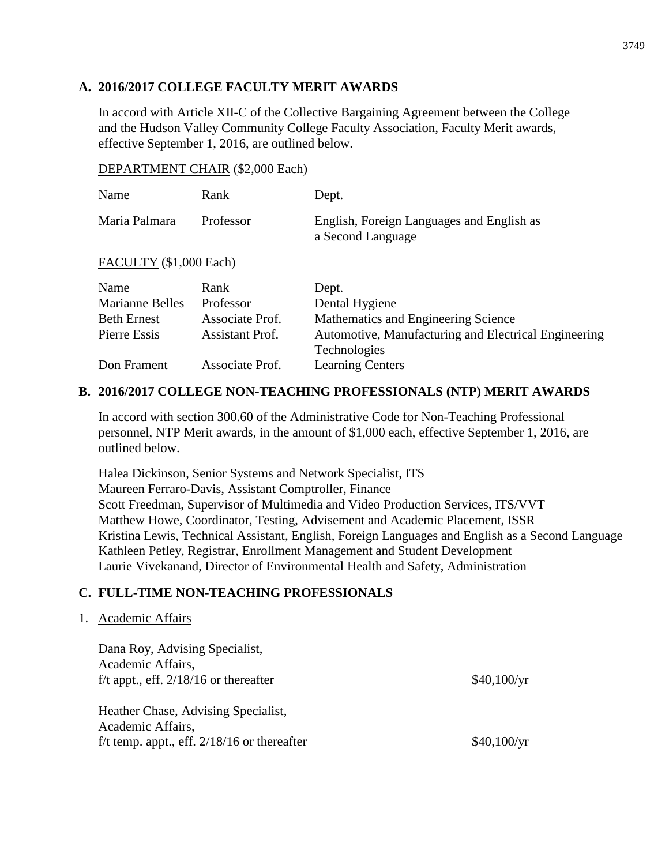### **A. 2016/2017 COLLEGE FACULTY MERIT AWARDS**

In accord with Article XII-C of the Collective Bargaining Agreement between the College and the Hudson Valley Community College Faculty Association, Faculty Merit awards, effective September 1, 2016, are outlined below.

#### DEPARTMENT CHAIR (\$2,000 Each)

| Name                   | Rank                   | Dept.                                                          |
|------------------------|------------------------|----------------------------------------------------------------|
| Maria Palmara          | Professor              | English, Foreign Languages and English as<br>a Second Language |
| FACULTY (\$1,000 Each) |                        |                                                                |
| Name                   | Rank                   | Dept.                                                          |
| <b>Marianne Belles</b> | Professor              | Dental Hygiene                                                 |
| <b>Beth Ernest</b>     | Associate Prof.        | Mathematics and Engineering Science                            |
| Pierre Essis           | <b>Assistant Prof.</b> | Automotive, Manufacturing and Electrical Engineering           |
|                        |                        | Technologies                                                   |
| Don Frament            | Associate Prof.        | <b>Learning Centers</b>                                        |

## **B. 2016/2017 COLLEGE NON-TEACHING PROFESSIONALS (NTP) MERIT AWARDS**

In accord with section 300.60 of the Administrative Code for Non-Teaching Professional personnel, NTP Merit awards, in the amount of \$1,000 each, effective September 1, 2016, are outlined below.

Halea Dickinson, Senior Systems and Network Specialist, ITS Maureen Ferraro-Davis, Assistant Comptroller, Finance Scott Freedman, Supervisor of Multimedia and Video Production Services, ITS/VVT Matthew Howe, Coordinator, Testing, Advisement and Academic Placement, ISSR Kristina Lewis, Technical Assistant, English, Foreign Languages and English as a Second Language Kathleen Petley, Registrar, Enrollment Management and Student Development Laurie Vivekanand, Director of Environmental Health and Safety, Administration

## **C. FULL-TIME NON-TEACHING PROFESSIONALS**

#### 1. Academic Affairs

| Dana Roy, Advising Specialist,                           |             |
|----------------------------------------------------------|-------------|
| Academic Affairs,                                        |             |
| f/t appt., eff. $2/18/16$ or thereafter                  | \$40,100/yr |
| Heather Chase, Advising Specialist,<br>Academic Affairs, |             |
|                                                          |             |
| f/t temp. appt., eff. $2/18/16$ or thereafter            | \$40,100/yr |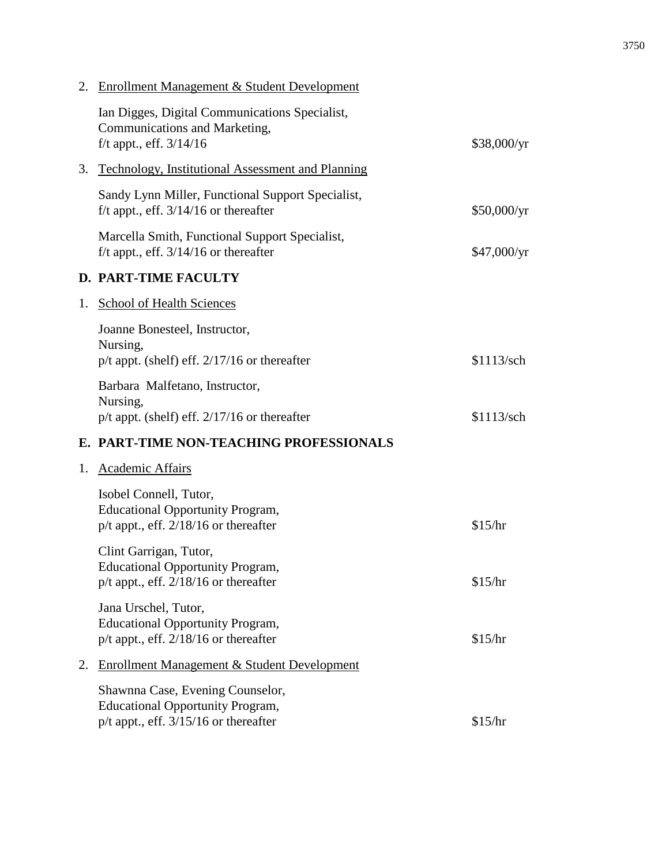|    | 2. Enrollment Management & Student Development                                                                           |             |
|----|--------------------------------------------------------------------------------------------------------------------------|-------------|
|    | Ian Digges, Digital Communications Specialist,<br>Communications and Marketing,<br>$f/t$ appt., eff. $3/14/16$           | \$38,000/yr |
| 3. | <b>Technology, Institutional Assessment and Planning</b>                                                                 |             |
|    | Sandy Lynn Miller, Functional Support Specialist,<br>f/t appt., eff. $3/14/16$ or thereafter                             | \$50,000/yr |
|    | Marcella Smith, Functional Support Specialist,<br>f/t appt., eff. $3/14/16$ or thereafter                                | \$47,000/yr |
|    | <b>D. PART-TIME FACULTY</b>                                                                                              |             |
| 1. | School of Health Sciences                                                                                                |             |
|    | Joanne Bonesteel, Instructor,<br>Nursing,<br>$p/t$ appt. (shelf) eff. $2/17/16$ or thereafter                            | \$1113/sch  |
|    | Barbara Malfetano, Instructor,<br>Nursing,<br>$p/t$ appt. (shelf) eff. $2/17/16$ or thereafter                           | \$1113/sch  |
|    | E. PART-TIME NON-TEACHING PROFESSIONALS                                                                                  |             |
| 1. | <b>Academic Affairs</b>                                                                                                  |             |
|    | Isobel Connell, Tutor,<br><b>Educational Opportunity Program,</b><br>$p/t$ appt., eff. 2/18/16 or thereafter             | \$15/hr     |
|    | Clint Garrigan, Tutor,<br><b>Educational Opportunity Program,</b><br>$p/t$ appt., eff. $2/18/16$ or thereafter           | \$15/hr     |
|    | Jana Urschel, Tutor,<br><b>Educational Opportunity Program,</b><br>p/t appt., eff. 2/18/16 or thereafter                 | \$15/hr     |
| 2. | <b>Enrollment Management &amp; Student Development</b>                                                                   |             |
|    | Shawnna Case, Evening Counselor,<br><b>Educational Opportunity Program,</b><br>$p/t$ appt., eff. $3/15/16$ or thereafter | \$15/hr     |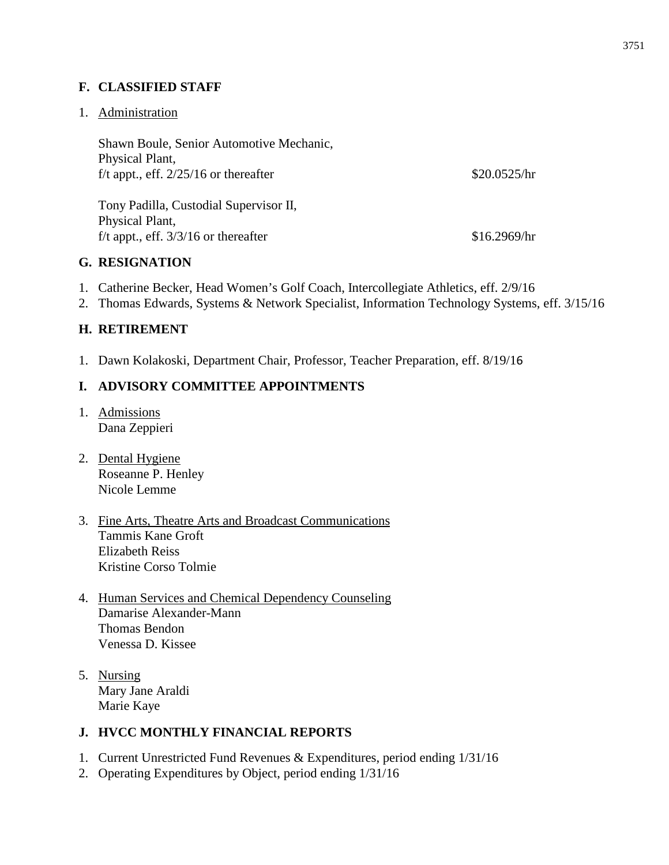## **F. CLASSIFIED STAFF**

#### 1. Administration

Shawn Boule, Senior Automotive Mechanic, Physical Plant, f/t appt., eff.  $2/25/16$  or thereafter \$20.0525/hr

Tony Padilla, Custodial Supervisor II, Physical Plant,  $f/t$  appt., eff.  $3/3/16$  or thereafter \$16.2969/hr

#### **G. RESIGNATION**

- 1. Catherine Becker, Head Women's Golf Coach, Intercollegiate Athletics, eff. 2/9/16
- 2. Thomas Edwards, Systems & Network Specialist, Information Technology Systems, eff. 3/15/16

#### **H. RETIREMENT**

1. Dawn Kolakoski, Department Chair, Professor, Teacher Preparation, eff. 8/19/16

## **I. ADVISORY COMMITTEE APPOINTMENTS**

- 1. Admissions Dana Zeppieri
- 2. Dental Hygiene Roseanne P. Henley Nicole Lemme
- 3. Fine Arts, Theatre Arts and Broadcast Communications Tammis Kane Groft Elizabeth Reiss Kristine Corso Tolmie
- 4. Human Services and Chemical Dependency Counseling Damarise Alexander-Mann Thomas Bendon Venessa D. Kissee
- 5. Nursing Mary Jane Araldi Marie Kaye

#### **J. HVCC MONTHLY FINANCIAL REPORTS**

- 1. Current Unrestricted Fund Revenues & Expenditures, period ending 1/31/16
- 2. Operating Expenditures by Object, period ending 1/31/16